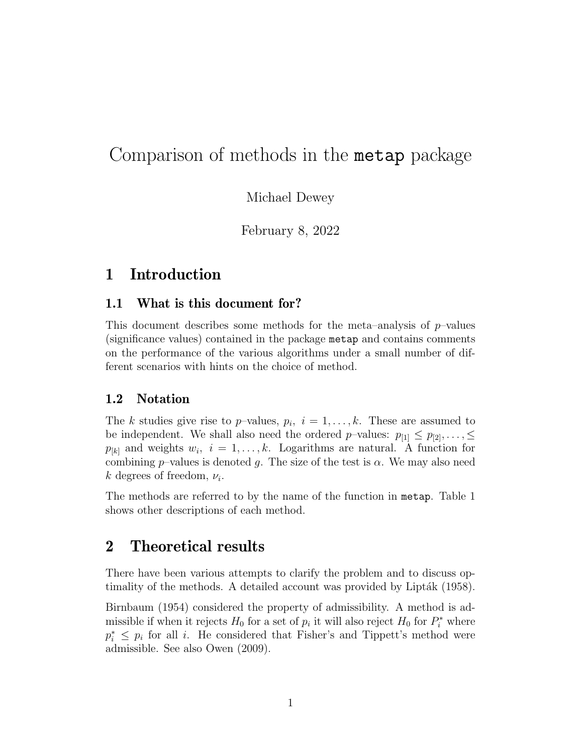# Comparison of methods in the metap package

Michael Dewey

February 8, 2022

## 1 Introduction

## 1.1 What is this document for?

This document describes some methods for the meta–analysis of  $p$ –values (significance values) contained in the package metap and contains comments on the performance of the various algorithms under a small number of different scenarios with hints on the choice of method.

### 1.2 Notation

The k studies give rise to p-values,  $p_i$ ,  $i = 1, ..., k$ . These are assumed to be independent. We shall also need the ordered p–values:  $p_{[1]} \leq p_{[2]}, \ldots, \leq$  $p_{[k]}$  and weights  $w_i$ ,  $i = 1, \ldots, k$ . Logarithms are natural. A function for combining p–values is denoted g. The size of the test is  $\alpha$ . We may also need  $k$  degrees of freedom,  $\nu_i$ .

The methods are referred to by the name of the function in metap. Table 1 shows other descriptions of each method.

## 2 Theoretical results

There have been various attempts to clarify the problem and to discuss optimality of the methods. A detailed account was provided by Lipták (1958).

Birnbaum (1954) considered the property of admissibility. A method is admissible if when it rejects  $H_0$  for a set of  $p_i$  it will also reject  $H_0$  for  $P_i^*$  where  $p_i^* \leq p_i$  for all *i*. He considered that Fisher's and Tippett's method were admissible. See also Owen (2009).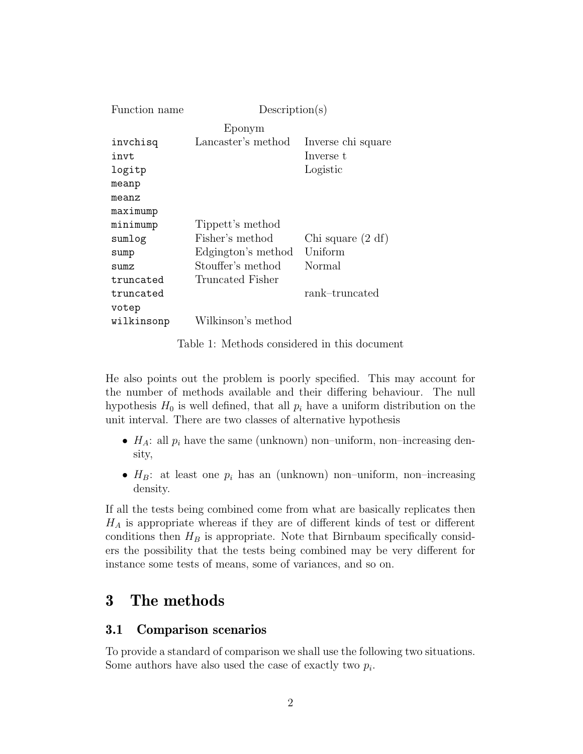| Function name | Description(s)     |                     |  |
|---------------|--------------------|---------------------|--|
|               | Eponym             |                     |  |
| invchisq      | Lancaster's method | Inverse chi square  |  |
| invt          |                    | Inverse t           |  |
| logitp        |                    | Logistic            |  |
| meanp         |                    |                     |  |
| meanz         |                    |                     |  |
| maximump      |                    |                     |  |
| minimump      | Tippett's method   |                     |  |
| sumlog        | Fisher's method    | Chi square $(2 df)$ |  |
| sump          | Edgington's method | Uniform             |  |
| sumz          | Stouffer's method  | Normal              |  |
| truncated     | Truncated Fisher   |                     |  |
| truncated     |                    | rank-truncated      |  |
| votep         |                    |                     |  |
| wilkinsonp    | Wilkinson's method |                     |  |

Table 1: Methods considered in this document

He also points out the problem is poorly specified. This may account for the number of methods available and their differing behaviour. The null hypothesis  $H_0$  is well defined, that all  $p_i$  have a uniform distribution on the unit interval. There are two classes of alternative hypothesis

- $H_A$ : all  $p_i$  have the same (unknown) non-uniform, non-increasing density,
- $H_B$ : at least one  $p_i$  has an (unknown) non–uniform, non–increasing density.

If all the tests being combined come from what are basically replicates then  $H_A$  is appropriate whereas if they are of different kinds of test or different conditions then  $H_B$  is appropriate. Note that Birnbaum specifically considers the possibility that the tests being combined may be very different for instance some tests of means, some of variances, and so on.

## 3 The methods

## 3.1 Comparison scenarios

To provide a standard of comparison we shall use the following two situations. Some authors have also used the case of exactly two  $p_i$ .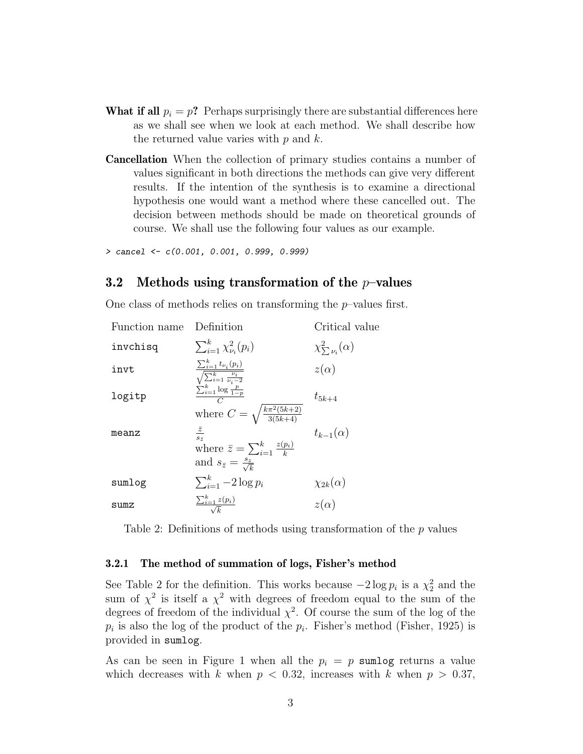- **What if all**  $p_i = p$ ? Perhaps surprisingly there are substantial differences here as we shall see when we look at each method. We shall describe how the returned value varies with  $p$  and  $k$ .
- Cancellation When the collection of primary studies contains a number of values significant in both directions the methods can give very different results. If the intention of the synthesis is to examine a directional hypothesis one would want a method where these cancelled out. The decision between methods should be made on theoretical grounds of course. We shall use the following four values as our example.

```
> cancel <- c(0.001, 0.001, 0.999, 0.999)
```
### 3.2 Methods using transformation of the  $p$ -values

One class of methods relies on transforming the  $p$ -values first.

| Function name | Definition                                                                                    | Critical value                |
|---------------|-----------------------------------------------------------------------------------------------|-------------------------------|
| invchisq      | $\sum_{i=1}^k \chi^2_{\nu_i}(p_i)$                                                            | $\chi^2_{\sum \nu_i}(\alpha)$ |
| invt          | $\frac{\sum_{i=1}^k t_{\nu_i}(p_i)}{\sqrt{\sum_{i=1}^k \frac{\nu_i}{\nu_i-2}}}$               | $z(\alpha)$                   |
| logitp        | $\frac{\sum_{i=1}^{k} \log \frac{p}{1-p}}{C}$                                                 | $t_{5k+4}$                    |
| meanz         | where $C = \sqrt{\frac{k\pi^2(5k+2)}{3(5k+4)}}$<br>$rac{\bar{z}}{s_{\bar{z}}}$                | $t_{k-1}(\alpha)$             |
|               | where $\bar{z} = \sum_{i=1}^{k} \frac{z(p_i)}{k}$<br>and $s_{\bar{z}} = \frac{s_z}{\sqrt{k}}$ |                               |
| sumlog        | $\sum_{i=1}^k -2\log p_i$                                                                     | $\chi_{2k}(\alpha)$           |
| sumz          | $\frac{\sum_{i=1}^{k} z(p_i)}{\sqrt{k}}$                                                      | $z(\alpha)$                   |

Table 2: Definitions of methods using transformation of the p values

#### 3.2.1 The method of summation of logs, Fisher's method

See Table 2 for the definition. This works because  $-2 \log p_i$  is a  $\chi^2$  and the sum of  $\chi^2$  is itself a  $\chi^2$  with degrees of freedom equal to the sum of the degrees of freedom of the individual  $\chi^2$ . Of course the sum of the log of the  $p_i$  is also the log of the product of the  $p_i$ . Fisher's method (Fisher, 1925) is provided in sumlog.

As can be seen in Figure 1 when all the  $p_i = p$  sumlog returns a value which decreases with k when  $p < 0.32$ , increases with k when  $p > 0.37$ ,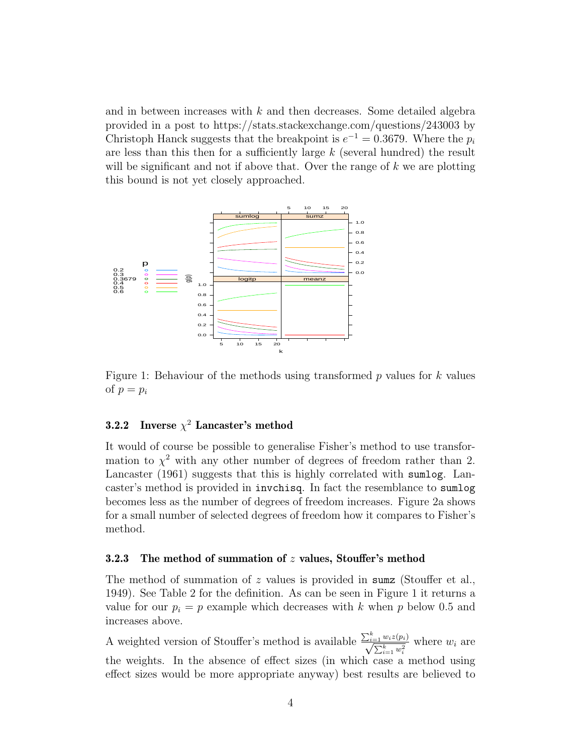and in between increases with  $k$  and then decreases. Some detailed algebra provided in a post to https://stats.stackexchange.com/questions/243003 by Christoph Hanck suggests that the breakpoint is  $e^{-1} = 0.3679$ . Where the  $p_i$ are less than this then for a sufficiently large  $k$  (several hundred) the result will be significant and not if above that. Over the range of k we are plotting this bound is not yet closely approached.



Figure 1: Behaviour of the methods using transformed  $p$  values for  $k$  values of  $p = p_i$ 

### **3.2.2** Inverse  $\chi^2$  Lancaster's method

It would of course be possible to generalise Fisher's method to use transformation to  $\chi^2$  with any other number of degrees of freedom rather than 2. Lancaster (1961) suggests that this is highly correlated with sumlog. Lancaster's method is provided in invchisq. In fact the resemblance to sumlog becomes less as the number of degrees of freedom increases. Figure 2a shows for a small number of selected degrees of freedom how it compares to Fisher's method.

#### 3.2.3 The method of summation of z values, Stouffer's method

The method of summation of z values is provided in sum z (Stouffer et al., 1949). See Table 2 for the definition. As can be seen in Figure 1 it returns a value for our  $p_i = p$  example which decreases with k when p below 0.5 and increases above.

A weighted version of Stouffer's method is available  $\frac{\sum_{i=1}^{k} w_i z(p_i)}{\sqrt{\sum_{i=1}^{k} w_i^2}}$  where  $w_i$  are the weights. In the absence of effect sizes (in which case a method using effect sizes would be more appropriate anyway) best results are believed to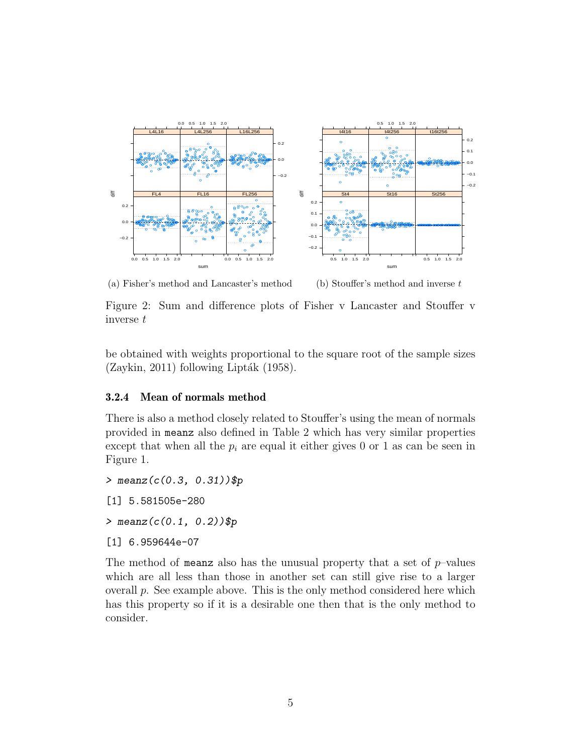

(a) Fisher's method and Lancaster's method



Figure 2: Sum and difference plots of Fisher v Lancaster and Stouffer v inverse t

be obtained with weights proportional to the square root of the sample sizes  $(Zaykin, 2011)$  following Lipták (1958).

#### 3.2.4 Mean of normals method

There is also a method closely related to Stouffer's using the mean of normals provided in meanz also defined in Table 2 which has very similar properties except that when all the  $p_i$  are equal it either gives 0 or 1 as can be seen in Figure 1.

> meanz(c(0.3, 0.31))\$p

[1] 5.581505e-280

 $>$  meanz( $c(0.1, 0.2)$ )\$p

[1] 6.959644e-07

The method of meanz also has the unusual property that a set of  $p$ -values which are all less than those in another set can still give rise to a larger overall p. See example above. This is the only method considered here which has this property so if it is a desirable one then that is the only method to consider.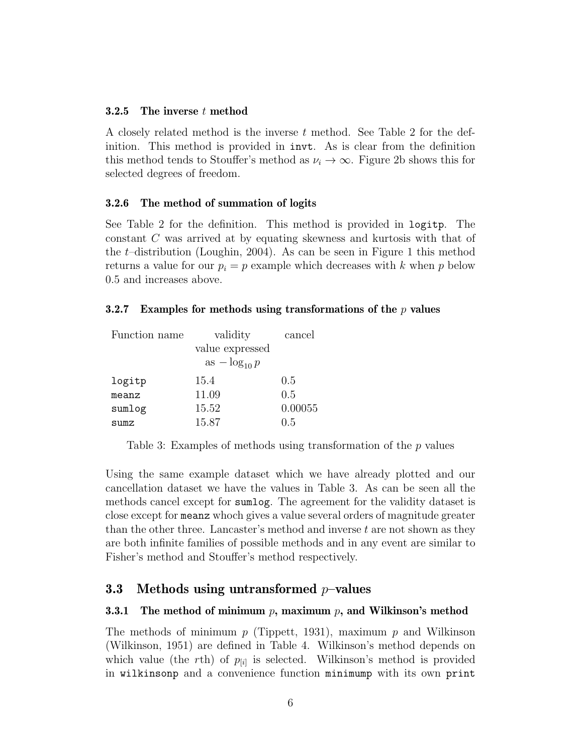#### 3.2.5 The inverse t method

A closely related method is the inverse t method. See Table 2 for the definition. This method is provided in invt. As is clear from the definition this method tends to Stouffer's method as  $\nu_i \to \infty$ . Figure 2b shows this for selected degrees of freedom.

#### 3.2.6 The method of summation of logits

See Table 2 for the definition. This method is provided in logitp. The constant C was arrived at by equating skewness and kurtosis with that of the t–distribution (Loughin, 2004). As can be seen in Figure 1 this method returns a value for our  $p_i = p$  example which decreases with k when p below 0.5 and increases above.

#### 3.2.7 Examples for methods using transformations of the  $p$  values

| Function name | validity          | cancel  |
|---------------|-------------------|---------|
|               | value expressed   |         |
|               | as $-\log_{10} p$ |         |
| logitp        | 15.4              | 0.5     |
| meanz         | 11.09             | 0.5     |
| sumlog        | 15.52             | 0.00055 |
| sumz          | 15.87             | 0.5     |

Table 3: Examples of methods using transformation of the p values

Using the same example dataset which we have already plotted and our cancellation dataset we have the values in Table 3. As can be seen all the methods cancel except for sumlog. The agreement for the validity dataset is close except for meanz whoch gives a value several orders of magnitude greater than the other three. Lancaster's method and inverse t are not shown as they are both infinite families of possible methods and in any event are similar to Fisher's method and Stouffer's method respectively.

### 3.3 Methods using untransformed  $p$ -values

#### **3.3.1** The method of minimum p, maximum p, and Wilkinson's method

The methods of minimum  $p$  (Tippett, 1931), maximum  $p$  and Wilkinson (Wilkinson, 1951) are defined in Table 4. Wilkinson's method depends on which value (the rth) of  $p_{[i]}$  is selected. Wilkinson's method is provided in wilkinsonp and a convenience function minimump with its own print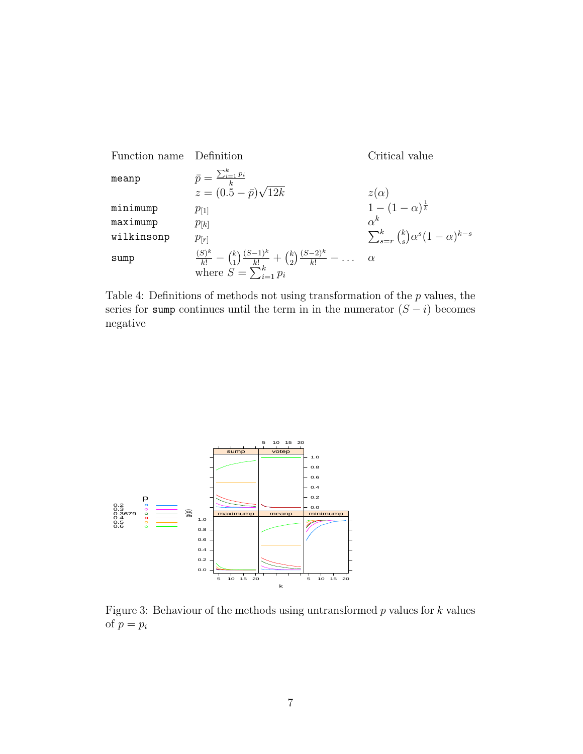Function name Definition  
\nmeanp  
\n
$$
\bar{p} = \frac{\sum_{i=1}^{k} p_i}{k}
$$
\n
$$
z = (0.5 - \bar{p})\sqrt{12k}
$$
\n
$$
\begin{array}{ll}\nz(\alpha) \\
\text{minimum} \\
\text{maximum} \\
p_{[1]} \\
\text{with isomp} \\
p_{[r]} \\
\text{sump} \\
\text{sump}\n\end{array}
$$
\n
$$
\begin{array}{ll}\nz(\alpha) \\
\text{minimp} \\
p_{[k]} \\
p_{[k]} \\
\text{with isomp} \\
\frac{(S)^k}{k!} - {k \choose 1} \frac{(S-1)^k}{k!} + {k \choose 2} \frac{(S-2)^k}{k!} - \dots \\\text{where } S = \sum_{i=1}^{k} p_i\n\end{array}
$$

Table 4: Definitions of methods not using transformation of the  $p$  values, the series for sump continues until the term in in the numerator  $(S - i)$  becomes negative



Figure 3: Behaviour of the methods using untransformed  $p$  values for  $k$  values of  $p = p_i$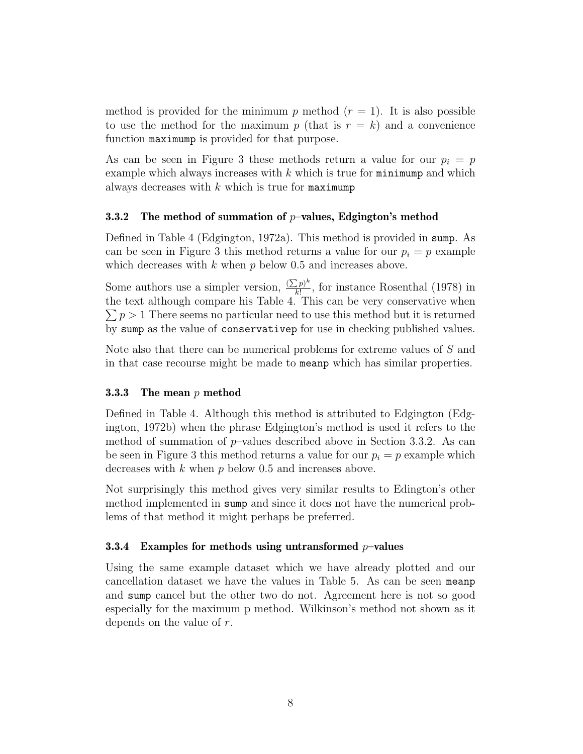method is provided for the minimum p method  $(r = 1)$ . It is also possible to use the method for the maximum p (that is  $r = k$ ) and a convenience function maximump is provided for that purpose.

As can be seen in Figure 3 these methods return a value for our  $p_i = p$ example which always increases with  $k$  which is true for  $minimum$  and which always decreases with  $k$  which is true for maximump

#### **3.3.2** The method of summation of  $p$ -values, Edgington's method

Defined in Table 4 (Edgington, 1972a). This method is provided in sump. As can be seen in Figure 3 this method returns a value for our  $p_i = p$  example which decreases with  $k$  when  $p$  below 0.5 and increases above.

Some authors use a simpler version,  $\frac{(\sum p)^k}{k!}$  $\frac{L^{p}}{k!}$ , for instance Rosenthal (1978) in the text although compare his Table 4. This can be very conservative when  $\sum p > 1$  There seems no particular need to use this method but it is returned by sump as the value of conservativep for use in checking published values.

Note also that there can be numerical problems for extreme values of S and in that case recourse might be made to meanp which has similar properties.

#### **3.3.3** The mean  $p$  method

Defined in Table 4. Although this method is attributed to Edgington (Edgington, 1972b) when the phrase Edgington's method is used it refers to the method of summation of  $p$ –values described above in Section 3.3.2. As can be seen in Figure 3 this method returns a value for our  $p_i = p$  example which decreases with  $k$  when  $p$  below 0.5 and increases above.

Not surprisingly this method gives very similar results to Edington's other method implemented in sump and since it does not have the numerical problems of that method it might perhaps be preferred.

#### 3.3.4 Examples for methods using untransformed  $p$ -values

Using the same example dataset which we have already plotted and our cancellation dataset we have the values in Table 5. As can be seen meanp and sump cancel but the other two do not. Agreement here is not so good especially for the maximum p method. Wilkinson's method not shown as it depends on the value of r.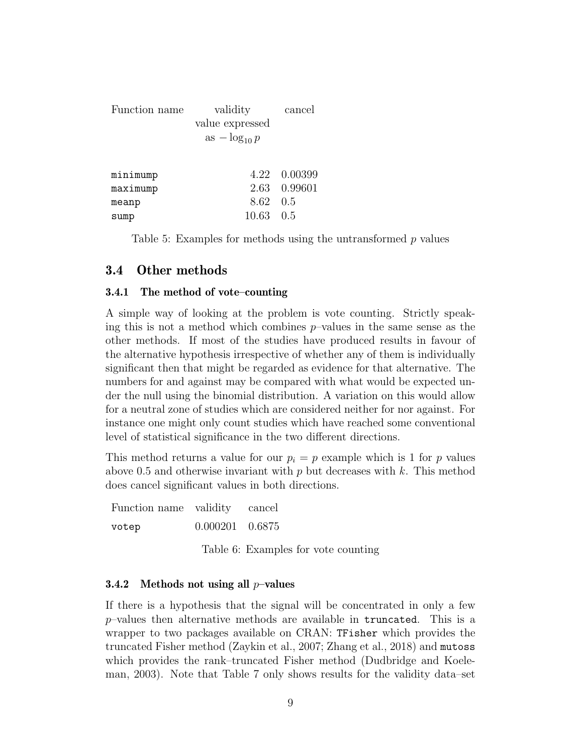| Function name | validity          | cancel       |
|---------------|-------------------|--------------|
|               | value expressed   |              |
|               | as $-\log_{10} p$ |              |
|               |                   |              |
|               |                   |              |
| minimump      |                   | 4.22 0.00399 |
| maximump      |                   | 2.63 0.99601 |
| meanp         | 8.62 0.5          |              |
| sump          | 10.63             | 0.5          |

Table 5: Examples for methods using the untransformed p values

### 3.4 Other methods

#### 3.4.1 The method of vote–counting

A simple way of looking at the problem is vote counting. Strictly speaking this is not a method which combines  $p$ -values in the same sense as the other methods. If most of the studies have produced results in favour of the alternative hypothesis irrespective of whether any of them is individually significant then that might be regarded as evidence for that alternative. The numbers for and against may be compared with what would be expected under the null using the binomial distribution. A variation on this would allow for a neutral zone of studies which are considered neither for nor against. For instance one might only count studies which have reached some conventional level of statistical significance in the two different directions.

This method returns a value for our  $p_i = p$  example which is 1 for p values above 0.5 and otherwise invariant with  $p$  but decreases with k. This method does cancel significant values in both directions.

Function name validity cancel votep 0.000201 0.6875 Table 6: Examples for vote counting

#### 3.4.2 Methods not using all  $p$ -values

If there is a hypothesis that the signal will be concentrated in only a few  $p$ -values then alternative methods are available in truncated. This is a wrapper to two packages available on CRAN: TFisher which provides the truncated Fisher method (Zaykin et al., 2007; Zhang et al., 2018) and mutoss which provides the rank–truncated Fisher method (Dudbridge and Koeleman, 2003). Note that Table 7 only shows results for the validity data–set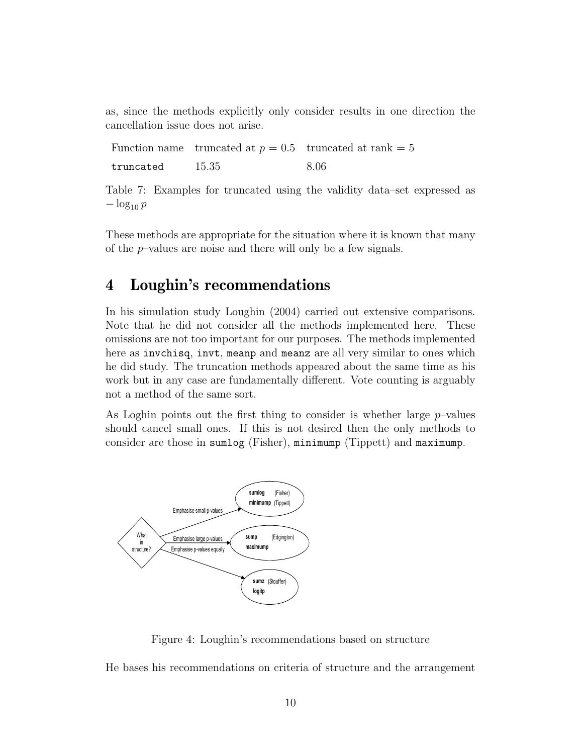as, since the methods explicitly only consider results in one direction the cancellation issue does not arise.

Function name truncated at  $p = 0.5$  truncated at rank = 5 truncated  $15.35$  8.06

Table 7: Examples for truncated using the validity data–set expressed as  $-\log_{10} p$ 

These methods are appropriate for the situation where it is known that many of the p–values are noise and there will only be a few signals.

## 4 Loughin's recommendations

In his simulation study Loughin (2004) carried out extensive comparisons. Note that he did not consider all the methods implemented here. These omissions are not too important for our purposes. The methods implemented here as invchisq, invt, meanp and meanz are all very similar to ones which he did study. The truncation methods appeared about the same time as his work but in any case are fundamentally different. Vote counting is arguably not a method of the same sort.

As Loghin points out the first thing to consider is whether large  $p$ -values should cancel small ones. If this is not desired then the only methods to consider are those in sumlog (Fisher), minimump (Tippett) and maximump.



Figure 4: Loughin's recommendations based on structure

He bases his recommendations on criteria of structure and the arrangement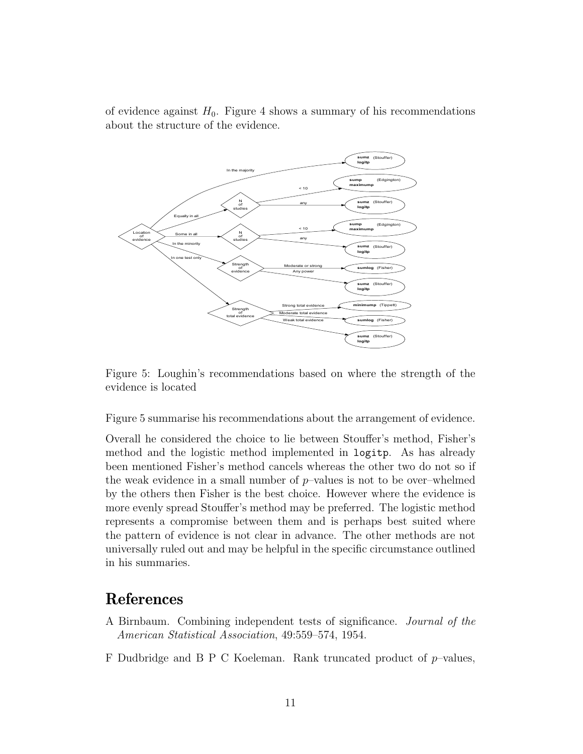of evidence against  $H_0$ . Figure 4 shows a summary of his recommendations about the structure of the evidence.



Figure 5: Loughin's recommendations based on where the strength of the evidence is located

Figure 5 summarise his recommendations about the arrangement of evidence.

Overall he considered the choice to lie between Stouffer's method, Fisher's method and the logistic method implemented in logitp. As has already been mentioned Fisher's method cancels whereas the other two do not so if the weak evidence in a small number of  $p$ -values is not to be over-whelmed by the others then Fisher is the best choice. However where the evidence is more evenly spread Stouffer's method may be preferred. The logistic method represents a compromise between them and is perhaps best suited where the pattern of evidence is not clear in advance. The other methods are not universally ruled out and may be helpful in the specific circumstance outlined in his summaries.

## References

- A Birnbaum. Combining independent tests of significance. Journal of the American Statistical Association, 49:559–574, 1954.
- F Dudbridge and B P C Koeleman. Rank truncated product of  $p$ -values,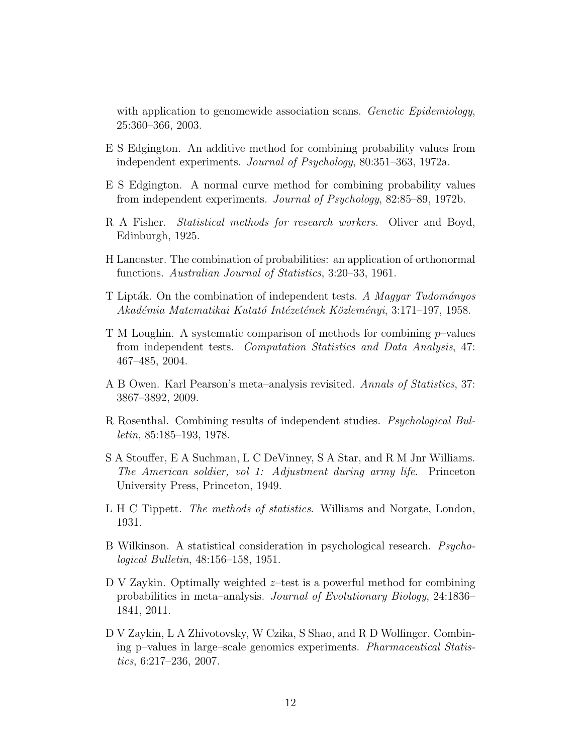with application to genomewide association scans. Genetic Epidemiology, 25:360–366, 2003.

- E S Edgington. An additive method for combining probability values from independent experiments. Journal of Psychology, 80:351–363, 1972a.
- E S Edgington. A normal curve method for combining probability values from independent experiments. Journal of Psychology, 82:85–89, 1972b.
- R A Fisher. Statistical methods for research workers. Oliver and Boyd, Edinburgh, 1925.
- H Lancaster. The combination of probabilities: an application of orthonormal functions. Australian Journal of Statistics, 3:20–33, 1961.
- T Lipták. On the combination of independent tests. A Magyar Tudományos Akadémia Matematikai Kutató Intézetének Közleményi, 3:171–197, 1958.
- T M Loughin. A systematic comparison of methods for combining p–values from independent tests. Computation Statistics and Data Analysis, 47: 467–485, 2004.
- A B Owen. Karl Pearson's meta–analysis revisited. Annals of Statistics, 37: 3867–3892, 2009.
- R Rosenthal. Combining results of independent studies. Psychological Bulletin, 85:185–193, 1978.
- S A Stouffer, E A Suchman, L C DeVinney, S A Star, and R M Jnr Williams. The American soldier, vol 1: Adjustment during army life. Princeton University Press, Princeton, 1949.
- L H C Tippett. The methods of statistics. Williams and Norgate, London, 1931.
- B Wilkinson. A statistical consideration in psychological research. Psychological Bulletin, 48:156–158, 1951.
- D V Zaykin. Optimally weighted  $z$ -test is a powerful method for combining probabilities in meta–analysis. Journal of Evolutionary Biology, 24:1836– 1841, 2011.
- D V Zaykin, L A Zhivotovsky, W Czika, S Shao, and R D Wolfinger. Combining p–values in large–scale genomics experiments. Pharmaceutical Statistics, 6:217–236, 2007.